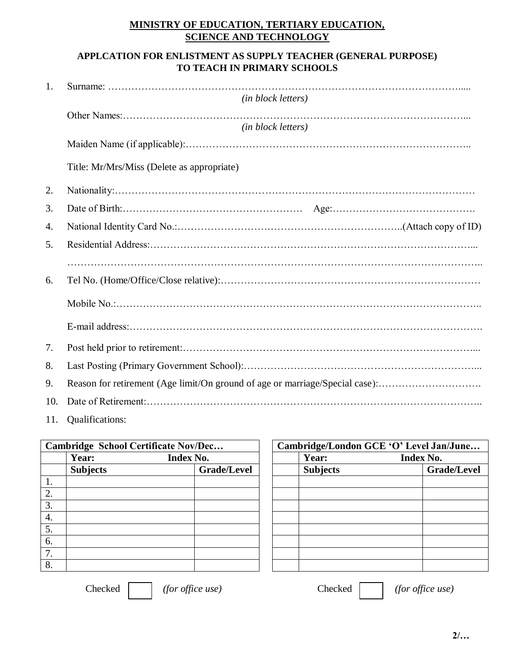## **MINISTRY OF EDUCATION, TERTIARY EDUCATION, SCIENCE AND TECHNOLOGY**

## **APPLCATION FOR ENLISTMENT AS SUPPLY TEACHER (GENERAL PURPOSE) TO TEACH IN PRIMARY SCHOOLS**

| 1.  |                                                                              |  |  |  |  |  |  |  |
|-----|------------------------------------------------------------------------------|--|--|--|--|--|--|--|
|     | (in block letters)                                                           |  |  |  |  |  |  |  |
|     |                                                                              |  |  |  |  |  |  |  |
|     | (in block letters)                                                           |  |  |  |  |  |  |  |
|     |                                                                              |  |  |  |  |  |  |  |
|     | Title: Mr/Mrs/Miss (Delete as appropriate)                                   |  |  |  |  |  |  |  |
| 2.  |                                                                              |  |  |  |  |  |  |  |
| 3.  |                                                                              |  |  |  |  |  |  |  |
| 4.  |                                                                              |  |  |  |  |  |  |  |
| 5.  |                                                                              |  |  |  |  |  |  |  |
|     |                                                                              |  |  |  |  |  |  |  |
| 6.  |                                                                              |  |  |  |  |  |  |  |
|     |                                                                              |  |  |  |  |  |  |  |
|     |                                                                              |  |  |  |  |  |  |  |
| 7.  |                                                                              |  |  |  |  |  |  |  |
| 8.  |                                                                              |  |  |  |  |  |  |  |
| 9.  | Reason for retirement (Age limit/On ground of age or marriage/Special case): |  |  |  |  |  |  |  |
| 10. |                                                                              |  |  |  |  |  |  |  |
|     |                                                                              |  |  |  |  |  |  |  |

11. Qualifications:

| Cambridge School Certificate Nov/Dec |                           |  |                    | Cambridge/London GCE 'O' Level Jan/June |                 |                  |             |
|--------------------------------------|---------------------------|--|--------------------|-----------------------------------------|-----------------|------------------|-------------|
|                                      | <b>Index No.</b><br>Year: |  |                    |                                         | Year:           | <b>Index No.</b> |             |
|                                      | <b>Subjects</b>           |  | <b>Grade/Level</b> |                                         | <b>Subjects</b> |                  | Grade/Level |
| 1.                                   |                           |  |                    |                                         |                 |                  |             |
| 2.                                   |                           |  |                    |                                         |                 |                  |             |
| 3.                                   |                           |  |                    |                                         |                 |                  |             |
| 4.                                   |                           |  |                    |                                         |                 |                  |             |
| 5.                                   |                           |  |                    |                                         |                 |                  |             |
| 6.                                   |                           |  |                    |                                         |                 |                  |             |
| 7.                                   |                           |  |                    |                                         |                 |                  |             |
| 8.                                   |                           |  |                    |                                         |                 |                  |             |

| ridge School Certificate Nov/Dec |                    | Cambridge/London GCE 'O' Level Jan/June |                  |             |  |  |
|----------------------------------|--------------------|-----------------------------------------|------------------|-------------|--|--|
| <b>Year:</b><br><b>Index No.</b> |                    | Year:                                   | <b>Index No.</b> |             |  |  |
| <b>Subjects</b>                  | <b>Grade/Level</b> | <b>Subjects</b>                         |                  | Grade/Level |  |  |
|                                  |                    |                                         |                  |             |  |  |
|                                  |                    |                                         |                  |             |  |  |
|                                  |                    |                                         |                  |             |  |  |
|                                  |                    |                                         |                  |             |  |  |
|                                  |                    |                                         |                  |             |  |  |
|                                  |                    |                                         |                  |             |  |  |
|                                  |                    |                                         |                  |             |  |  |
|                                  |                    |                                         |                  |             |  |  |

Checked *(for office use)* Checked *(for office use)*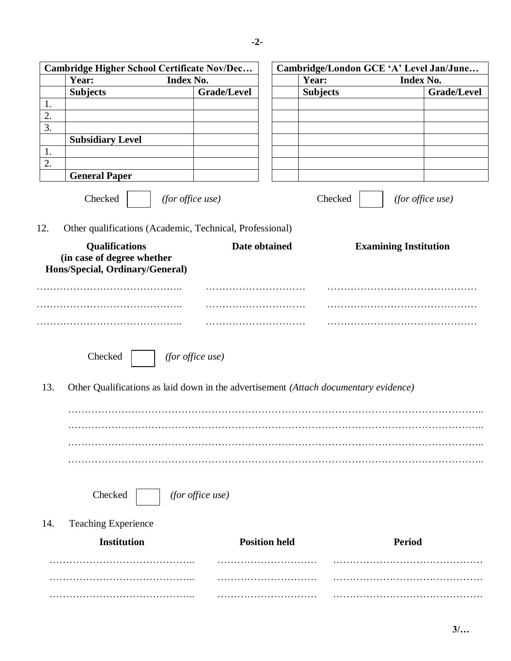| <b>Index No.</b><br>Year:<br>Year:<br>Index No.<br><b>Subjects</b><br><b>Grade/Level</b><br><b>Grade/Level</b><br><b>Subjects</b><br>1.<br>2.<br>3.<br><b>Subsidiary Level</b><br>1.<br>2.<br><b>General Paper</b><br>Checked<br>(for office use)<br>Checked<br>(for office use)<br>Other qualifications (Academic, Technical, Professional)<br><b>Qualifications</b><br>Date obtained<br><b>Examining Institution</b><br>(in case of degree whether<br>Hons/Special, Ordinary/General)<br>Checked<br>(for office use)<br>13.<br>Other Qualifications as laid down in the advertisement (Attach documentary evidence)<br>Checked<br>(for office use)<br><b>Teaching Experience</b><br>14.<br><b>Institution</b><br><b>Position held</b><br>Period | Cambridge Higher School Certificate Nov/Dec |  |  | Cambridge/London GCE 'A' Level Jan/June |  |  |  |  |  |  |  |
|---------------------------------------------------------------------------------------------------------------------------------------------------------------------------------------------------------------------------------------------------------------------------------------------------------------------------------------------------------------------------------------------------------------------------------------------------------------------------------------------------------------------------------------------------------------------------------------------------------------------------------------------------------------------------------------------------------------------------------------------------|---------------------------------------------|--|--|-----------------------------------------|--|--|--|--|--|--|--|
|                                                                                                                                                                                                                                                                                                                                                                                                                                                                                                                                                                                                                                                                                                                                                   |                                             |  |  |                                         |  |  |  |  |  |  |  |
|                                                                                                                                                                                                                                                                                                                                                                                                                                                                                                                                                                                                                                                                                                                                                   |                                             |  |  |                                         |  |  |  |  |  |  |  |
|                                                                                                                                                                                                                                                                                                                                                                                                                                                                                                                                                                                                                                                                                                                                                   |                                             |  |  |                                         |  |  |  |  |  |  |  |
|                                                                                                                                                                                                                                                                                                                                                                                                                                                                                                                                                                                                                                                                                                                                                   |                                             |  |  |                                         |  |  |  |  |  |  |  |
|                                                                                                                                                                                                                                                                                                                                                                                                                                                                                                                                                                                                                                                                                                                                                   |                                             |  |  |                                         |  |  |  |  |  |  |  |
|                                                                                                                                                                                                                                                                                                                                                                                                                                                                                                                                                                                                                                                                                                                                                   |                                             |  |  |                                         |  |  |  |  |  |  |  |
|                                                                                                                                                                                                                                                                                                                                                                                                                                                                                                                                                                                                                                                                                                                                                   |                                             |  |  |                                         |  |  |  |  |  |  |  |
|                                                                                                                                                                                                                                                                                                                                                                                                                                                                                                                                                                                                                                                                                                                                                   |                                             |  |  |                                         |  |  |  |  |  |  |  |
|                                                                                                                                                                                                                                                                                                                                                                                                                                                                                                                                                                                                                                                                                                                                                   |                                             |  |  |                                         |  |  |  |  |  |  |  |
|                                                                                                                                                                                                                                                                                                                                                                                                                                                                                                                                                                                                                                                                                                                                                   |                                             |  |  |                                         |  |  |  |  |  |  |  |
|                                                                                                                                                                                                                                                                                                                                                                                                                                                                                                                                                                                                                                                                                                                                                   | 12.                                         |  |  |                                         |  |  |  |  |  |  |  |
|                                                                                                                                                                                                                                                                                                                                                                                                                                                                                                                                                                                                                                                                                                                                                   |                                             |  |  |                                         |  |  |  |  |  |  |  |
|                                                                                                                                                                                                                                                                                                                                                                                                                                                                                                                                                                                                                                                                                                                                                   |                                             |  |  |                                         |  |  |  |  |  |  |  |
|                                                                                                                                                                                                                                                                                                                                                                                                                                                                                                                                                                                                                                                                                                                                                   |                                             |  |  |                                         |  |  |  |  |  |  |  |
|                                                                                                                                                                                                                                                                                                                                                                                                                                                                                                                                                                                                                                                                                                                                                   |                                             |  |  |                                         |  |  |  |  |  |  |  |
|                                                                                                                                                                                                                                                                                                                                                                                                                                                                                                                                                                                                                                                                                                                                                   |                                             |  |  |                                         |  |  |  |  |  |  |  |
|                                                                                                                                                                                                                                                                                                                                                                                                                                                                                                                                                                                                                                                                                                                                                   |                                             |  |  |                                         |  |  |  |  |  |  |  |
|                                                                                                                                                                                                                                                                                                                                                                                                                                                                                                                                                                                                                                                                                                                                                   |                                             |  |  |                                         |  |  |  |  |  |  |  |
|                                                                                                                                                                                                                                                                                                                                                                                                                                                                                                                                                                                                                                                                                                                                                   |                                             |  |  |                                         |  |  |  |  |  |  |  |
|                                                                                                                                                                                                                                                                                                                                                                                                                                                                                                                                                                                                                                                                                                                                                   |                                             |  |  |                                         |  |  |  |  |  |  |  |
|                                                                                                                                                                                                                                                                                                                                                                                                                                                                                                                                                                                                                                                                                                                                                   |                                             |  |  |                                         |  |  |  |  |  |  |  |
|                                                                                                                                                                                                                                                                                                                                                                                                                                                                                                                                                                                                                                                                                                                                                   |                                             |  |  |                                         |  |  |  |  |  |  |  |
|                                                                                                                                                                                                                                                                                                                                                                                                                                                                                                                                                                                                                                                                                                                                                   |                                             |  |  |                                         |  |  |  |  |  |  |  |